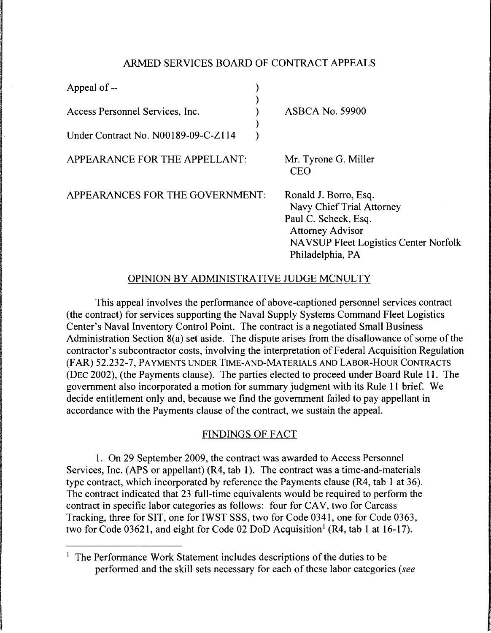## ARMED SERVICES BOARD OF CONTRACT APPEALS

| Appeal of $-$                       |                        |
|-------------------------------------|------------------------|
| Access Personnel Services, Inc.     | <b>ASBCA No. 59900</b> |
| Under Contract No. N00189-09-C-Z114 |                        |
|                                     |                        |

APPEARANCE FOR THE APPELLANT:

Mr. Tyrone G. Miller CEO

APPEARANCES FOR THE GOVERNMENT:

Ronald J. Borro, Esq. Navy Chief Trial Attorney Paul C. Scheck, Esq. Attorney Advisor NA VSUP Fleet Logistics Center Norfolk Philadelphia, PA

## OPINION BY ADMINISTRATIVE JUDGE MCNULTY

This appeal involves the performance of above-captioned personnel services contract (the contract) for services supporting the Naval Supply Systems Command Fleet Logistics Center's Naval Inventory Control Point. The contract is a negotiated Small Business Administration Section 8(a) set aside. The dispute arises from the disallowance of some of the contractor's subcontractor costs, involving the interpretation of Federal Acquisition Regulation (FAR) 52.232-7, PAYMENTS UNDER TIME-AND-MATERIALS AND LABOR-HOUR CONTRACTS (DEC 2002), (the Payments clause). The parties elected to proceed under Board Rule 11. The government also incorporated a motion for summary judgment with its Rule 11 brief. We decide entitlement only and, because we find the government failed to pay appellant in accordance with the Payments clause of the contract, we sustain the appeal.

## FINDINGS OF FACT

1. On 29 September 2009, the contract was awarded to Access Personnel Services, Inc. (APS or appellant) (R4, tab 1). The contract was a time-and-materials type contract, which incorporated by reference the Payments clause (R4, tab 1 at 36). The contract indicated that 23 full-time equivalents would be required to perform the contract in specific labor categories as follows: four for CAV, two for Carcass Tracking, three for SIT, one for IWST SSS, two for Code 0341, one for Code 0363, two for Code 03621, and eight for Code 02 DoD Acquisition<sup>1</sup> (R4, tab 1 at 16-17).

<sup>&</sup>lt;sup>1</sup> The Performance Work Statement includes descriptions of the duties to be performed and the skill sets necessary for each of these labor categories *(see*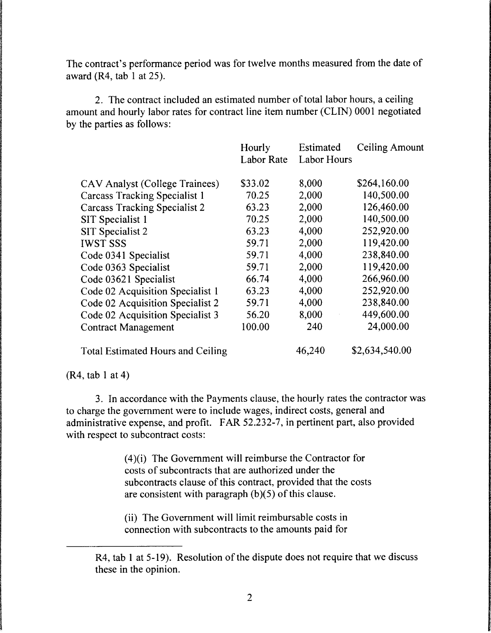The contract's performance period was for twelve months measured from the date of award  $(R4, tab 1 at 25)$ .

2. The contract included an estimated number of total labor hours, a ceiling amount and hourly labor rates for contract line item number (CLIN) 0001 negotiated by the parties as follows:

|                                          | Hourly            | Estimated          | <b>Ceiling Amount</b> |
|------------------------------------------|-------------------|--------------------|-----------------------|
|                                          | <b>Labor Rate</b> | <b>Labor Hours</b> |                       |
| CAV Analyst (College Trainees)           | \$33.02           | 8,000              | \$264,160.00          |
| <b>Carcass Tracking Specialist 1</b>     | 70.25             | 2,000              | 140,500.00            |
| <b>Carcass Tracking Specialist 2</b>     | 63.23             | 2,000              | 126,460.00            |
| SIT Specialist 1                         | 70.25             | 2,000              | 140,500.00            |
| SIT Specialist 2                         | 63.23             | 4,000              | 252,920.00            |
| <b>IWST SSS</b>                          | 59.71             | 2,000              | 119,420.00            |
| Code 0341 Specialist                     | 59.71             | 4,000              | 238,840.00            |
| Code 0363 Specialist                     | 59.71             | 2,000              | 119,420.00            |
| Code 03621 Specialist                    | 66.74             | 4,000              | 266,960.00            |
| Code 02 Acquisition Specialist 1         | 63.23             | 4,000              | 252,920.00            |
| Code 02 Acquisition Specialist 2         | 59.71             | 4,000              | 238,840.00            |
| Code 02 Acquisition Specialist 3         | 56.20             | 8,000              | 449,600.00            |
| <b>Contract Management</b>               | 100.00            | 240                | 24,000.00             |
| <b>Total Estimated Hours and Ceiling</b> |                   | 46,240             | \$2,634,540.00        |

(R4, tab I at 4)

3. In accordance with the Payments clause, the hourly rates the contractor was to charge the government were to include wages, indirect costs, general and administrative expense, and profit. FAR 52.232-7, in pertinent part, also provided with respect to subcontract costs:

> (4)(i) The Government will reimburse the Contractor for costs of subcontracts that are authorized under the subcontracts clause of this contract, provided that the costs are consistent with paragraph (b)(5) of this clause.

(ii) The Government will limit reimbursable costs in connection with subcontracts to the amounts paid for

R4, tab I at 5-19). Resolution of the dispute does not require that we discuss these in the opinion.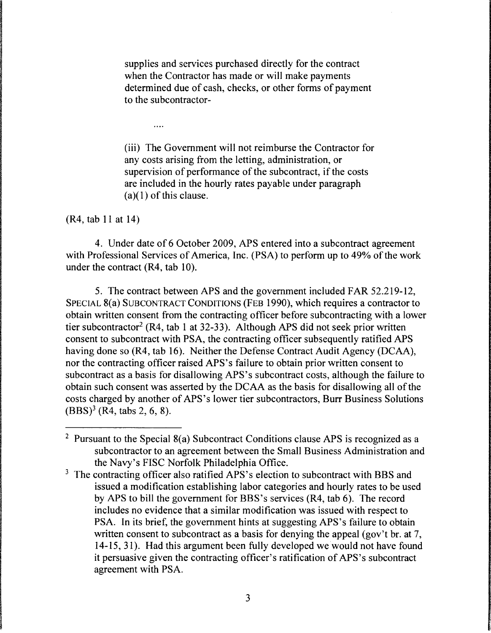supplies and services purchased directly for the contract when the Contractor has made or will make payments determined due of cash, checks, or other forms of payment to the subcontractor-

(iii) The Government will not reimburse the Contractor for any costs arising from the letting, administration, or supervision of performance of the subcontract, if the costs are included in the hourly rates payable under paragraph  $(a)(1)$  of this clause.

(R4, tab 11 at 14)

 $\ldots$ 

4. Under date of 6 October 2009, APS entered into a subcontract agreement with Professional Services of America, Inc. (PSA) to perform up to 49% of the work under the contract (R4, tab 10).

5. The contract between APS and the government included FAR 52.219-12, SPECIAL 8(a) SUBCONTRACT CONDITIONS (FEB 1990), which requires a contractor to obtain written consent from the contracting officer before subcontracting with a lower tier subcontractor<sup>2</sup> (R4, tab 1 at 32-33). Although APS did not seek prior written consent to subcontract with PSA, the contracting officer subsequently ratified APS having done so (R4, tab 16). Neither the Defense Contract Audit Agency (DCAA), nor the contracting officer raised APS's failure to obtain prior written consent to subcontract as a basis for disallowing APS 's subcontract costs, although the failure to obtain such consent was asserted by the DCAA as the basis for disallowing all of the costs charged by another of APS's lower tier subcontractors, Burr Business Solutions  $(BBS)^3$  (R4, tabs 2, 6, 8).

<sup>&</sup>lt;sup>2</sup> Pursuant to the Special  $8(a)$  Subcontract Conditions clause APS is recognized as a subcontractor to an agreement between the Small Business Administration and the Navy's FISC Norfolk Philadelphia Office.

<sup>&</sup>lt;sup>3</sup> The contracting officer also ratified APS's election to subcontract with BBS and issued a modification establishing labor categories and hourly rates to be used by APS to bill the government for BBS's services (R4, tab 6). The record includes no evidence that a similar modification was issued with respect to PSA. In its brief, the government hints at suggesting APS's failure to obtain written consent to subcontract as a basis for denying the appeal (gov't br. at 7, 14-15, 31). Had this argument been fully developed we would not have found it persuasive given the contracting officer's ratification of APS's subcontract agreement with PSA.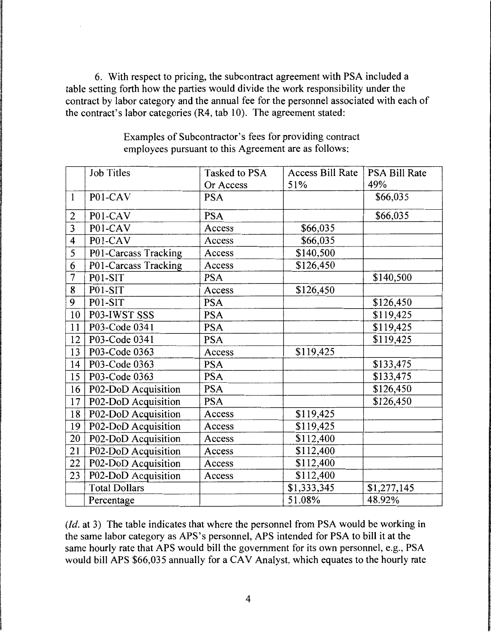6. With respect to pricing, the subcontract agreement with PSA included a table setting forth how the parties would divide the work responsibility under the contract by labor category and the annual fee for the personnel associated with each of the contract's labor categories (R4, tab 10). The agreement stated:

|                | <b>Job Titles</b>    | Tasked to PSA | <b>Access Bill Rate</b> | <b>PSA Bill Rate</b> |
|----------------|----------------------|---------------|-------------------------|----------------------|
|                |                      | Or Access     | 51%                     | 49%                  |
| $\mathbf{1}$   | P01-CAV              | <b>PSA</b>    |                         | \$66,035             |
| 2              | P01-CAV              | <b>PSA</b>    |                         | \$66,035             |
| $\overline{3}$ | P01-CAV              | Access        | \$66,035                |                      |
| 4              | P01-CAV              | Access        | \$66,035                |                      |
| 5              | P01-Carcass Tracking | Access        | \$140,500               |                      |
| 6              | P01-Carcass Tracking | Access        | \$126,450               |                      |
| $\overline{7}$ | P01-SIT              | <b>PSA</b>    |                         | \$140,500            |
| 8              | P01-SIT              | Access        | \$126,450               |                      |
| 9              | P01-SIT              | <b>PSA</b>    |                         | \$126,450            |
| 10             | P03-IWST SSS         | <b>PSA</b>    |                         | \$119,425            |
| 11             | P03-Code 0341        | <b>PSA</b>    |                         | \$119,425            |
| 12             | P03-Code 0341        | <b>PSA</b>    |                         | \$119,425            |
| 13             | P03-Code 0363        | Access        | \$119,425               |                      |
| 14             | P03-Code 0363        | <b>PSA</b>    |                         | \$133,475            |
| 15             | P03-Code 0363        | <b>PSA</b>    |                         | \$133,475            |
| 16             | P02-DoD Acquisition  | <b>PSA</b>    |                         | \$126,450            |
| 17             | P02-DoD Acquisition  | <b>PSA</b>    |                         | \$126,450            |
| 18             | P02-DoD Acquisition  | Access        | \$119,425               |                      |
| 19             | P02-DoD Acquisition  | Access        | \$119,425               |                      |
| 20             | P02-DoD Acquisition  | Access        | \$112,400               |                      |
| 21             | P02-DoD Acquisition  | Access        | \$112,400               |                      |
| 22             | P02-DoD Acquisition  | Access        | \$112,400               |                      |
| 23             | P02-DoD Acquisition  | Access        | \$112,400               |                      |
|                | <b>Total Dollars</b> |               | \$1,333,345             | \$1,277,145          |
|                | Percentage           |               | 51.08%                  | 48.92%               |

Examples of Subcontractor's fees for providing contract employees pursuant to this Agreement are as follows:

*(Id. at 3)* The table indicates that where the personnel from PSA would be working in the same labor category as APS's personnel, APS intended for PSA to bill it at the same hourly rate that APS would bill the government for its own personnel, e.g., PSA would bill APS \$66,035 annually for a CAV Analyst, which equates to the hourly rate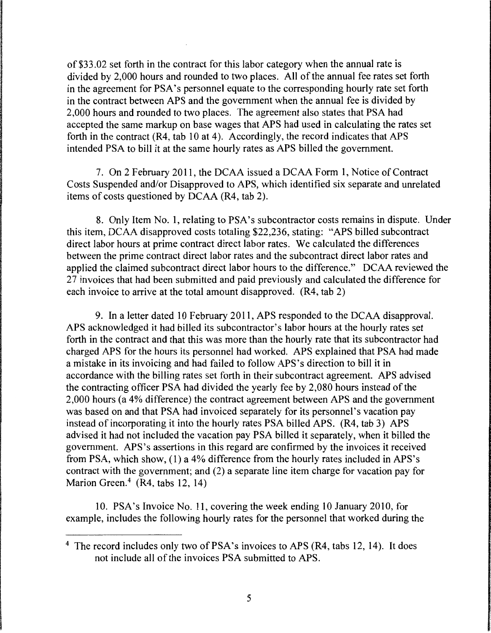of \$33.02 set forth in the contract for this labor category when the annual rate is divided by 2,000 hours and rounded to two places. All of the annual fee rates set forth in the agreement for PSA's personnel equate to the corresponding hourly rate set forth in the contract between APS and the government when the annual fee is divided by 2,000 hours and rounded to two places. The agreement also states that PSA had accepted the same markup on base wages that APS had used in calculating the rates set forth in the contract  $(R4, tab 10 at 4)$ . Accordingly, the record indicates that APS intended PSA to bill it at the same hourly rates as APS billed the government.

7. On 2 February 2011, the DCAA issued a DCAA Form 1, Notice of Contract Costs Suspended and/or Disapproved to APS, which identified six separate and unrelated items of costs questioned by DCAA (R4, tab 2).

8. Only Item No. 1, relating to PSA's subcontractor costs remains in dispute. Under this item, DCAA disapproved costs totaling \$22,236, stating: "APS billed subcontract direct labor hours at prime contract direct labor rates. We calculated the differences between the prime contract direct labor rates and the subcontract direct labor rates and applied the claimed subcontract direct labor hours to the difference." DCAA reviewed the 27 invoices that had been submitted and paid previously and calculated the difference for each invoice to arrive at the total amount disapproved. (R4, tab 2)

9. In a letter dated 10 February 2011, APS responded to the DCAA disapproval. APS acknowledged it had billed its subcontractor's labor hours at the hourly rates set forth in the contract and that this was more than the hourly rate that its subcontractor had charged APS for the hours its personnel had worked. APS explained that PSA had made a mistake in its invoicing and had failed to follow APS's direction to bill it in accordance with the billing rates set forth in their subcontract agreement. APS advised the contracting officer PSA had divided the yearly fee by 2,080 hours instead of the 2,000 hours (a 4% difference) the contract agreement between APS and the government was based on and that PSA had invoiced separately for its personnel's vacation pay instead of incorporating it into the hourly rates PSA billed APS. (R4, tab 3) APS advised it had not included the vacation pay PSA billed it separately, when it billed the government. APS's assertions in this regard are confirmed by the invoices it received from PSA, which show, (1) a 4% difference from the hourly rates included in APS's contract with the government; and (2) a separate line item charge for vacation pay for Marion Green.<sup>4</sup> (R4, tabs 12, 14)

10. PSA's Invoice No. 11, covering the week ending 10 January 2010, for example, includes the following hourly rates for the personnel that worked during the

<sup>4</sup> The record includes only two of PSA's invoices to APS (R4, tabs 12, 14). It does not include all of the invoices PSA submitted to APS.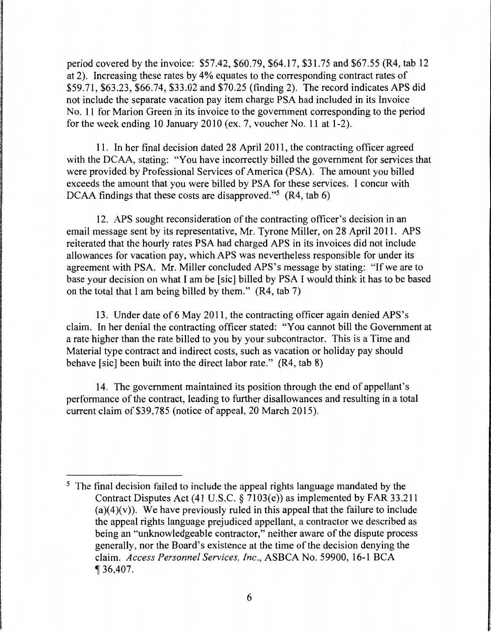period covered by the invoice: \$57.42, \$60.79, \$64.17, \$31.75 and \$67.55 (R4, tab 12 at 2). Increasing these rates by 4% equates to the corresponding contract rates of \$59.71, \$63.23, \$66.74, \$33.02 and \$70.25 (finding 2). The record indicates APS did not include the separate vacation pay item charge PSA had included in its Invoice No. 11 for Marion Green in its invoice to the government corresponding to the period for the week ending 10 January 2010 (ex. 7, voucher No. 11 at 1-2).

11. In her final decision dated 28 April 2011, the contracting officer agreed with the DCAA, stating: "You have incorrectly billed the government for services that were provided by Professional Services of America (PSA). The amount you billed exceeds the amount that you were billed by PSA for these services. I concur with DCAA findings that these costs are disapproved."<sup>5</sup> (R4, tab 6)

12. APS sought reconsideration of the contracting officer's decision in an email message sent by its representative, Mr. Tyrone Miller, on 28 April 2011. APS reiterated that the hourly rates PSA had charged APS in its invoices did not include allowances for vacation pay, which APS was nevertheless responsible for under its agreement with PSA. Mr. Miller concluded APS's message by stating: "If we are to base your decision on what I am be [sic] billed by PSA I would think it has to be based on the total that I am being billed by them." (R4, tab 7)

13. Under date of6 May 2011, the contracting officer again denied APS's claim. In her denial the contracting officer stated: "You cannot bill the Government at a rate higher than the rate billed to you by your subcontractor. This is a Time and Material type contract and indirect costs, such as vacation or holiday pay should behave [sic] been built into the direct labor rate." (R4, tab 8)

14. The government maintained its position through the end of appellant's performance of the contract, leading to further disallowances and resulting in a total current claim of \$39,785 (notice of appeal, 20 March 2015).

<sup>&</sup>lt;sup>5</sup> The final decision failed to include the appeal rights language mandated by the Contract Disputes Act (41 U.S.C. § 7103(e)) as implemented by FAR 33.211  $(a)(4)(v)$ . We have previously ruled in this appeal that the failure to include the appeal rights language prejudiced appellant, a contractor we described as being an "unknowledgeable contractor," neither aware of the dispute process generally, nor the Board's existence at the time of the decision denying the claim. *Access Personnel Services, Inc.,* ASBCA No. 59900, 16-1 BCA  $\P 36,407.$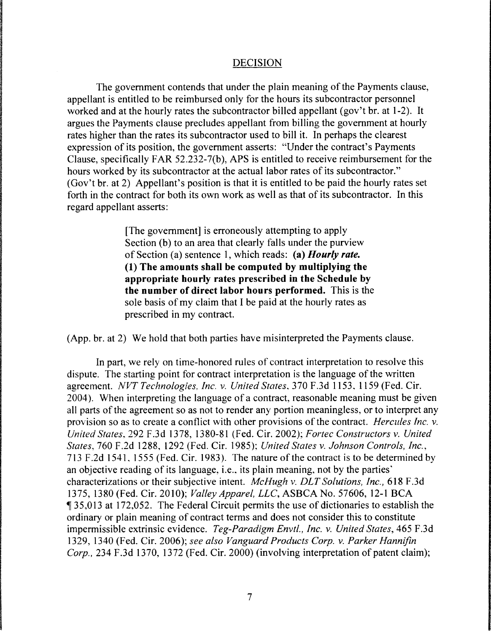## DECISION

The government contends that under the plain meaning of the Payments clause, appellant is entitled to be reimbursed only for the hours its subcontractor personnel worked and at the hourly rates the subcontractor billed appellant (gov't br. at 1-2). It argues the Payments clause precludes appellant from billing the government at hourly rates higher than the rates its subcontractor used to bill it. In perhaps the clearest expression of its position, the government asserts: "Under the contract's Payments Clause, specifically FAR 52.232-7(b), APS is entitled to receive reimbursement for the hours worked by its subcontractor at the actual labor rates of its subcontractor." (Gov't br. at 2) Appellant's position is that it is entitled to be paid the hourly rates set forth in the contract for both its own work as well as that of its subcontractor. In this regard appellant asserts:

> [The government] is erroneously attempting to apply Section (b) to an area that clearly falls under the purview of Section (a) sentence 1, which reads: **(a)** *Hourly rate.*  **(1) The amounts shall be computed by multiplying the appropriate hourly rates prescribed in the Schedule by the number of direct labor hours performed.** This is the sole basis of my claim that I be paid at the hourly rates as prescribed in my contract.

(App. br. at 2) We hold that both parties have misinterpreted the Payments clause.

In part, we rely on time-honored rules of contract interpretation to resolve this dispute. The starting point for contract interpretation is the language of the written agreement. *NVT Technologies, Inc. v. United States.* 370 F.3d 1153. 1159 (Fed. Cir. 2004 ). When interpreting the language of a contract, reasonable meaning must be given all parts of the agreement so as not to render any portion meaningless, or to interpret any provision so as to create a conflict with other provisions of the contract. *Hercules Inc. v. United States.* 292 F.3d 1378, 1380-81 (Fed. Cir. 2002); *Fortec Constructors v. United States,* 760 F.2d 1288, 1292 (Fed. Cir. 1985): *United States v. Johnson Controls, Inc.,*  713 F.2d 1541. 1555 (Fed. Cir. 1983). The nature of the contract is to be determined bv an objective reading of its language, i.e., its plain meaning, not by the parties' characterizations or their subjective intent. *Mc Hugh v. DLT Solutions, Inc.,* 618 F .3d 1375, 1380 (Fed. Cir. 2010); *Valley Apparel, LLC,* ASBCA No. 57606, 12-1 BCA **Jet 35,013 at 172,052.** The Federal Circuit permits the use of dictionaries to establish the ordinary or plain meaning of contract terms and does not consider this to constitute impermissible extrinsic evidence. *Teg-Paradigm Envtl., Inc. v. United States,* 465 F.3d 1329, 1340 (Fed. Cir. 2006); *see also Vanguard Products Corp. v. Parker Hannifin Corp.,* 234 F.3d 1370, 1372 (Fed. Cir. 2000) (involving interpretation of patent claim);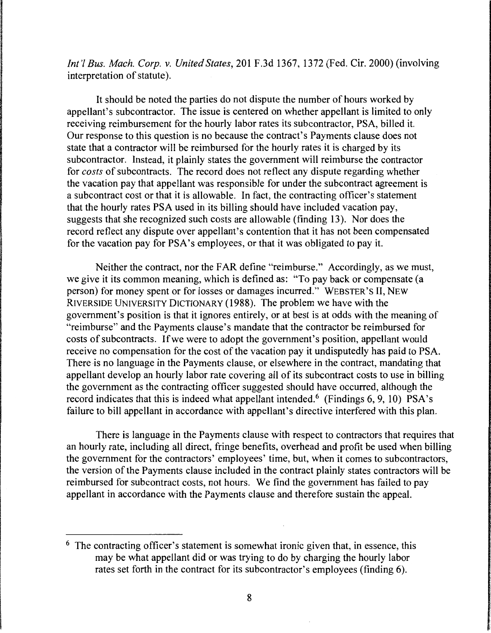*Int'! Bus. Mach. Corp.* v. *United States,* 201F.3d1367, 1372 (Fed. Cir. 2000) (involving interpretation of statute).

It should be noted the parties do not dispute the number of hours worked by appellant's subcontractor. The issue is centered on whether appellant is limited to only receiving reimbursement for the hourly labor rates its subcontractor, PSA, billed it. Our response to this question is no because the contract's Payments clause does not state that a contractor will be reimbursed for the hourly rates it is charged by its subcontractor. Instead, it plainly states the government will reimburse the contractor for *costs* of subcontracts. The record does not reflect any dispute regarding whether the vacation pay that appellant was responsible for under the subcontract agreement is a subcontract cost or that it is allowable. In fact, the contracting officer's statement that the hourly rates PSA used in its billing should have included vacation pay, suggests that she recognized such costs are allowable (finding 13). Nor does the record reflect any dispute over appellant's contention that it has not been compensated for the vacation pay for PSA's employees, or that it was obligated to pay it.

Neither the contract, nor the FAR define "reimburse." Accordingly, as we must, we give it its common meaning, which is defined as: "To pay back or compensate (a person) for money spent or for losses or damages incurred." WEBSTER'S II, NEW RIVERSIDE UNIVERSITY DICTIONARY (1988). The problem we have with the government's position is that it ignores entirely, or at best is at odds with the meaning of "reimburse" and the Payments clause's mandate that the contractor be reimbursed for costs of subcontracts. If we were to adopt the government's position, appellant would receive no compensation for the cost of the vacation pay it undisputedly has paid to PSA. There is no language in the Payments clause, or elsewhere in the contract, mandating that appellant develop an hourly labor rate covering all of its subcontract costs to use in billing the government as the contracting officer suggested should have occurred, although the record indicates that this is indeed what appellant intended.<sup>6</sup> (Findings 6, 9, 10) PSA's failure to bill appellant in accordance with appellant's directive interfered with this plan.

There is language in the Payments clause with respect to contractors that requires that an hourly rate, including all direct, fringe benefits, overhead and profit be used when billing the government for the contractors' employees' time, but, when it comes to subcontractors, the version of the Payments clause included in the contract plainly states contractors will be reimbursed for subcontract costs, not hours. We find the government has failed to pay appellant in accordance with the Payments clause and therefore sustain the appeal.

<sup>&</sup>lt;sup>6</sup> The contracting officer's statement is somewhat ironic given that, in essence, this may be what appellant did or was trying to do by charging the hourly labor rates set forth in the contract for its subcontractor's employees (finding 6).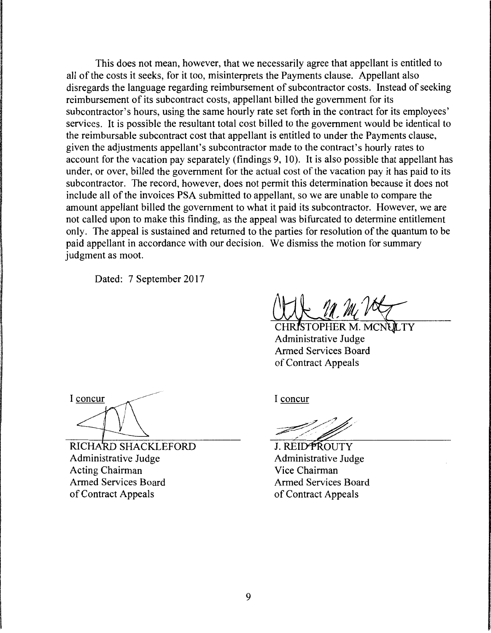This does not mean, however, that we necessarily agree that appellant is entitled to all of the costs it seeks, for it too, misinterprets the Payments clause. Appellant also disregards the language regarding reimbursement of subcontractor costs. Instead of seeking reimbursement of its subcontract costs, appellant billed the government for its subcontractor's hours, using the same hourly rate set forth in the contract for its employees' services. It is possible the resultant total cost billed to the government would be identical to the reimbursable subcontract cost that appellant is entitled to under the Payments clause, given the adjustments appellant's subcontractor made to the contract's hourly rates to account for the vacation pay separately (findings 9, 10). It is also possible that appellant has under, or over, billed the government for the actual cost of the vacation pay it has paid to its subcontractor. The record, however, does not permit this determination because it does not include all of the invoices PSA submitted to appellant, so we are unable to compare the amount appellant billed the government to what it paid its subcontractor. However, we are not called upon to make this finding, as the appeal was bifurcated to determine entitlement only. The appeal is sustained and returned to the parties for resolution of the quantum to be paid appellant in accordance with our decision. We dismiss the motion for summary judgment as moot.

Dated: 7 September 2017

ISTOPHER M. MCNULTY Administrative Judge Armed Services Board of Contract Appeals

I concur

RICHARD SHACKLEFORD Administrative Judge Acting Chairman Armed Services Board of Contract Appeals

I concur

J. REIDPROUTY Administrative Judge Vice Chairman Armed Services Board of Contract Appeals